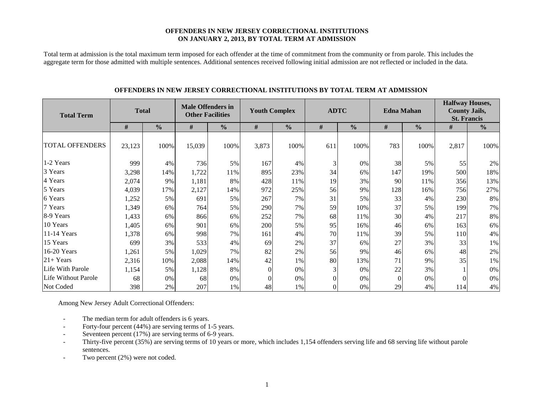### **OFFENDERS IN NEW JERSEY CORRECTIONAL INSTITUTIONS ON JANUARY 2, 2013, BY TOTAL TERM AT ADMISSION**

Total term at admission is the total maximum term imposed for each offender at the time of commitment from the community or from parole. This includes the aggregate term for those admitted with multiple sentences. Additional sentences received following initial admission are not reflected or included in the data.

| <b>Total Term</b>      | <b>Total</b> |               | <b>Male Offenders in</b><br><b>Other Facilities</b> |               |                | <b>Youth Complex</b> | <b>ADTC</b> |               |          | <b>Edna Mahan</b> | <b>Halfway Houses,</b><br><b>County Jails,</b><br><b>St. Francis</b> |               |  |
|------------------------|--------------|---------------|-----------------------------------------------------|---------------|----------------|----------------------|-------------|---------------|----------|-------------------|----------------------------------------------------------------------|---------------|--|
|                        | #            | $\frac{0}{0}$ | $\#$                                                | $\frac{0}{0}$ | $\#$           | $\frac{0}{0}$        | #           | $\frac{0}{0}$ | $\#$     | $\frac{0}{0}$     | #                                                                    | $\frac{6}{6}$ |  |
| <b>TOTAL OFFENDERS</b> | 23,123       | 100%          | 15,039                                              | 100%          | 3,873          | 100%                 | 611         | 100%          | 783      | 100%              | 2,817                                                                | 100%          |  |
| 1-2 Years              | 999          | 4%            | 736                                                 | 5%            | 167            | 4%                   | 3           | 0%            | 38       | 5%                | 55                                                                   | 2%            |  |
| 3 Years                | 3,298        | 14%           | 1,722                                               | 11%           | 895            | 23%                  | 34          | 6%            | 147      | 19%               | 500                                                                  | 18%           |  |
| 4 Years                | 2,074        | 9%            | 1,181                                               | 8%            | 428            | 11%                  | 19          | 3%            | 90       | 11%               | 356                                                                  | 13%           |  |
| 5 Years                | 4,039        | 17%           | 2,127                                               | 14%           | 972            | 25%                  | 56          | 9%            | 128      | 16%               | 756                                                                  | 27%           |  |
| 6 Years                | 1,252        | 5%            | 691                                                 | 5%            | 267            | 7%                   | 31          | 5%            | 33       | 4%                | 230                                                                  | $8\%$         |  |
| 7 Years                | 1,349        | 6%            | 764                                                 | 5%            | 290            | 7%                   | 59          | 10%           | 37       | 5%                | 199                                                                  | 7%            |  |
| 8-9 Years              | 1,433        | 6%            | 866                                                 | 6%            | 252            | 7%                   | 68          | 11%           | 30       | 4%                | 217                                                                  | $8\%$         |  |
| 10 Years               | 1,405        | 6%            | 901                                                 | 6%            | 200            | 5%                   | 95          | 16%           | 46       | 6%                | 163                                                                  | 6%            |  |
| 11-14 Years            | 1,378        | 6%            | 998                                                 | 7%            | 161            | 4%                   | 70          | 11%           | 39       | 5%                | <b>110</b>                                                           | 4%            |  |
| 15 Years               | 699          | 3%            | 533                                                 | 4%            | 69             | 2%                   | 37          | 6%            | 27       | 3%                | 33                                                                   | 1%            |  |
| 16-20 Years            | 1,261        | 5%            | 1,029                                               | 7%            | 82             | 2%                   | 56          | 9%            | 46       | 6%                | 48                                                                   | 2%            |  |
| $21+Years$             | 2,316        | 10%           | 2,088                                               | 14%           | 42             | 1%                   | 80          | 13%           | 71       | 9%                | 35                                                                   | $1\%$         |  |
| Life With Parole       | 1,154        | 5%            | 1,128                                               | 8%            | $\overline{0}$ | 0%                   |             | 0%            | 22       | 3%                |                                                                      | 0%            |  |
| Life Without Parole    | 68           | 0%            | 68                                                  | 0%            | $\Omega$       | 0%                   |             | $0\%$         | $\Omega$ | 0%                | $\theta$                                                             | 0%            |  |
| Not Coded              | 398          | 2%            | 207                                                 | 1%            | 48             | 1%                   |             | 0%            | 29       | 4%                | 114                                                                  | $4\%$         |  |

## **OFFENDERS IN NEW JERSEY CORRECTIONAL INSTITUTIONS BY TOTAL TERM AT ADMISSION**

Among New Jersey Adult Correctional Offenders:

- The median term for adult offenders is 6 years.
- Forty-four percent (44%) are serving terms of 1-5 years.
- Seventeen percent  $(17%)$  are serving terms of 6-9 years.
- Thirty-five percent (35%) are serving terms of 10 years or more, which includes 1,154 offenders serving life and 68 serving life without parole sentences.
- Two percent (2%) were not coded.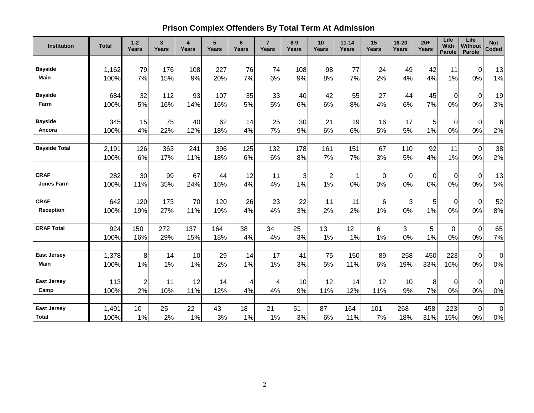# **Prison Complex Offenders By Total Term At Admission**

| Institution          | <b>Total</b> | $1 - 2$<br>Years | 3<br>Years | $\overline{\mathbf{4}}$<br><b>Years</b> | 5<br>Years | 6<br>Years | $\overline{7}$<br>Years | $8-9$<br>Years | 10<br>Years    | $11 - 14$<br>Years | 15<br>Years    | $16 - 20$<br><b>Years</b> | $20+$<br>Years | Life<br>With<br>Parole | Life<br><b>Without</b><br>Parole | <b>Not</b><br>Coded |
|----------------------|--------------|------------------|------------|-----------------------------------------|------------|------------|-------------------------|----------------|----------------|--------------------|----------------|---------------------------|----------------|------------------------|----------------------------------|---------------------|
|                      |              |                  |            |                                         |            |            |                         |                |                |                    |                |                           |                |                        |                                  |                     |
| <b>Bayside</b>       | 1,162        | 79               | 176        | 108                                     | 227        | 76         | 74                      | 108            | 98             | 77                 | 24             | 49                        | 42             | 11                     | $\mathbf 0$                      | 13                  |
| <b>Main</b>          | 100%         | 7%               | 15%        | 9%                                      | 20%        | 7%         | 6%                      | 9%             | 8%             | 7%                 | 2%             | 4%                        | 4%             | 1%                     | 0%                               | 1%                  |
| <b>Bayside</b>       | 684          | 32               | 112        | 93                                      | 107        | 35         | 33                      | 40             | 42             | 55                 | 27             | 44                        | 45             | $\Omega$               | $\mathbf 0$                      | 19                  |
| Farm                 | 100%         | 5%               | 16%        | 14%                                     | 16%        | 5%         | 5%                      | 6%             | 6%             | 8%                 | 4%             | 6%                        | 7%             | 0%                     | 0%                               | 3%                  |
| <b>Bayside</b>       | 345          | 15               | 75         | 40                                      | 62         | 14         | 25                      | 30             | 21             | 19                 | 16             | 17                        | 5              | $\Omega$               | $\Omega$                         | $\,6$               |
| Ancora               | 100%         | 4%               | 22%        | 12%                                     | 18%        | 4%         | 7%                      | 9%             | 6%             | 6%                 | 5%             | 5%                        | 1%             | 0%                     | 0%                               | 2%                  |
| <b>Bayside Total</b> | 2,191        | 126              | 363        | 241                                     | 396        | 125        | 132                     | 178            | 161            | 151                | 67             | 110                       | 92             | 11                     | $\mathbf 0$                      | 38                  |
|                      | 100%         | 6%               | 17%        | 11%                                     | 18%        | 6%         | 6%                      | 8%             | 7%             | 7%                 | 3%             | 5%                        | 4%             | 1%                     | 0%                               | 2%                  |
|                      |              |                  |            |                                         |            |            |                         |                |                |                    |                |                           |                |                        |                                  |                     |
| <b>CRAF</b>          | 282          | 30               | 99         | 67                                      | 44         | 12         | 11                      | 3              | $\overline{c}$ | 1                  | $\overline{0}$ | 0                         | 0              | 0                      | $\mathbf 0$                      | 13                  |
| <b>Jones Farm</b>    | 100%         | 11%              | 35%        | 24%                                     | 16%        | 4%         | 4%                      | 1%             | 1%             | 0%                 | 0%             | 0%                        | 0%             | 0%                     | 0%                               | 5%                  |
| <b>CRAF</b>          | 642          | 120              | 173        | 70                                      | 120        | 26         | 23                      | 22             | 11             | 11                 | 6              | 3                         | 5              | $\Omega$               | $\mathbf 0$                      | 52                  |
| <b>Reception</b>     | 100%         | 19%              | 27%        | 11%                                     | 19%        | 4%         | 4%                      | 3%             | 2%             | 2%                 | 1%             | 0%                        | 1%             | 0%                     | 0%                               | 8%                  |
| <b>CRAF Total</b>    | 924          | 150              | 272        | 137                                     | 164        | 38         | 34                      | 25             | 13             | 12                 | 6              | 3                         | 5              | $\Omega$               | $\Omega$                         | 65                  |
|                      | 100%         | 16%              | 29%        | 15%                                     | 18%        | 4%         | 4%                      | 3%             | 1%             | 1%                 | 1%             | 0%                        | 1%             | 0%                     | 0%                               | 7%                  |
| <b>East Jersey</b>   | 1,378        | 8                | 14         | 10                                      | 29         | 14         | 17                      | 41             | 75             | 150                | 89             | 258                       | 450            | 223                    | $\mathbf 0$                      | $\overline{0}$      |
| Main                 | 100%         | 1%               | 1%         | 1%                                      | 2%         | 1%         | 1%                      | 3%             | 5%             | 11%                | 6%             | 19%                       | 33%            | 16%                    | 0%                               | $0\%$               |
| <b>East Jersey</b>   | 113          | $\overline{2}$   | 11         | 12                                      | 14         | 4          | 4                       | 10             | 12             | 14                 | 12             | 10                        | 8              | $\mathbf 0$            | $\Omega$                         | 0                   |
| Camp                 | 100%         | 2%               | 10%        | 11%                                     | 12%        | 4%         | 4%                      | 9%             | 11%            | 12%                | 11%            | 9%                        | 7%             | 0%                     | 0%                               | 0%                  |
|                      |              |                  |            |                                         |            |            |                         |                |                |                    |                |                           |                |                        |                                  |                     |
| <b>East Jersey</b>   | 1,491        | 10 <sup>1</sup>  | 25         | 22                                      | 43         | 18         | 21                      | 51             | 87             | 164                | 101            | 268                       | 458            | 223                    | $\mathbf 0$                      | $\pmb{0}$           |
| <b>Total</b>         | 100%         | 1%               | 2%         | 1%                                      | 3%         | 1%         | 1%                      | 3%             | 6%             | 11%                | 7%             | 18%                       | 31%            | 15%                    | 0%                               | $0\%$               |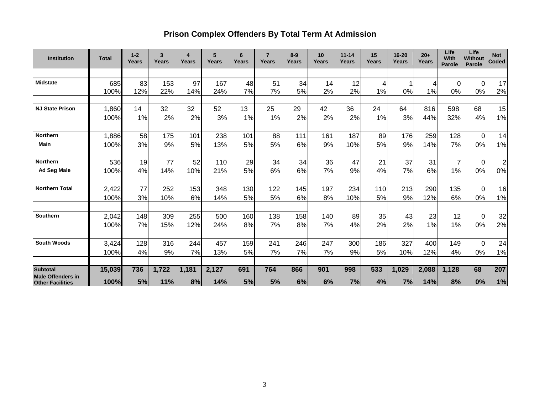# **Prison Complex Offenders By Total Term At Admission**

| <b>Institution</b>                          | <b>Total</b> | $1 - 2$<br>Years | 3<br>Years | 4<br>Years | 5<br>Years | 6<br>Years | $\overline{7}$<br>Years | $8 - 9$<br>Years | 10<br>Years | $11 - 14$<br>Years | 15<br>Years | 16-20<br>Years | $20+$<br>Years | Life<br>With<br><b>Parole</b> | Life<br><b>Without</b><br><b>Parole</b> | <b>Not</b><br>Coded |
|---------------------------------------------|--------------|------------------|------------|------------|------------|------------|-------------------------|------------------|-------------|--------------------|-------------|----------------|----------------|-------------------------------|-----------------------------------------|---------------------|
|                                             |              |                  |            |            |            |            |                         |                  |             |                    |             |                |                |                               |                                         |                     |
| <b>Midstate</b>                             | 685          | 83               | 153        | 97         | 167        | 48         | 51                      | 34               | 14          | 12                 | 4           |                | 4              | $\Omega$                      | $\Omega$                                | 17                  |
|                                             | 100%         | 12%              | 22%        | 14%        | 24%        | 7%         | 7%                      | 5%               | 2%          | 2%                 | 1%          | 0%             | 1%             | 0%                            | 0%                                      | 2%                  |
|                                             |              |                  |            |            |            |            |                         |                  |             |                    |             |                |                |                               |                                         |                     |
| <b>NJ State Prison</b>                      | 1,860        | 14               | 32         | 32         | 52         | 13         | 25                      | 29               | 42          | 36                 | 24          | 64             | 816            | 598                           | 68                                      | 15                  |
|                                             | 100%         | 1%               | 2%         | 2%         | 3%         | 1%         | 1%                      | 2%               | 2%          | 2%                 | 1%          | 3%             | 44%            | 32%                           | 4%                                      | 1%                  |
| <b>Northern</b>                             | 1,886        | 58               | 175        | 101        | 238        | 101        | 88                      | 111              | 161         | 187                | 89          | 176            | 259            | 128                           | $\Omega$                                | 14                  |
| <b>Main</b>                                 | 100%         | 3%               | 9%         | 5%         | 13%        | 5%         | 5%                      | 6%               | 9%          | 10%                | 5%          | 9%             | 14%            | 7%                            | 0%                                      | 1%                  |
|                                             |              |                  |            |            |            |            |                         |                  |             |                    |             |                |                |                               |                                         |                     |
| <b>Northern</b>                             | 536          | 19               | 77         | 52         | 110        | 29         | 34                      | 34               | 36          | 47                 | 21          | 37             | 31             | 7                             | $\Omega$                                | $\overline{2}$      |
| <b>Ad Seg Male</b>                          | 100%         | 4%               | 14%        | 10%        | 21%        | 5%         | 6%                      | 6%               | 7%          | 9%                 | 4%          | 7%             | 6%             | 1%                            | 0%                                      | $0\%$               |
|                                             |              |                  |            |            |            |            |                         |                  |             |                    |             |                |                |                               |                                         |                     |
| <b>Northern Total</b>                       | 2,422        | 77               | 252        | 153        | 348        | 130        | 122                     | 145              | 197         | 234                | 110         | 213            | 290            | 135                           | $\Omega$                                | 16                  |
|                                             | 100%         | 3%               | 10%        | 6%         | 14%        | 5%         | 5%                      | 6%               | 8%          | 10%                | 5%          | 9%             | 12%            | 6%                            | 0%                                      | 1%                  |
| <b>Southern</b>                             | 2,042        | 148              | 309        | 255        | 500        | 160        | 138                     | 158              | 140         | 89                 | 35          | 43             | 23             | 12                            | $\Omega$                                | 32                  |
|                                             | 100%         | 7%               | 15%        | 12%        | 24%        | 8%         | 7%                      | 8%               | 7%          | 4%                 | 2%          | 2%             | 1%             | 1%                            | 0%                                      | 2%                  |
|                                             |              |                  |            |            |            |            |                         |                  |             |                    |             |                |                |                               |                                         |                     |
| <b>South Woods</b>                          | 3,424        | 128              | 316        | 244        | 457        | 159        | 241                     | 246              | 247         | 300                | 186         | 327            | 400            | 149                           | $\Omega$                                | 24                  |
|                                             | 100%         | 4%               | 9%         | 7%         | 13%        | 5%         | 7%                      | 7%               | 7%          | 9%                 | 5%          | 10%            | 12%            | 4%                            | 0%                                      | 1%                  |
|                                             |              |                  |            |            |            |            |                         |                  |             |                    |             |                |                |                               |                                         |                     |
| <b>Subtotal</b><br><b>Male Offenders in</b> | 15,039       | 736              | 1,722      | 1,181      | 2,127      | 691        | 764                     | 866              | 901         | 998                | 533         | 1,029          | 2,088          | 1,128                         | 68                                      | 207                 |
| <b>Other Facilities</b>                     | 100%         | 5%               | 11%        | 8%         | 14%        | 5%         | 5%                      | 6%               | 6%          | 7%                 | 4%          | 7%             | 14%            | 8%                            | 0%                                      | 1%                  |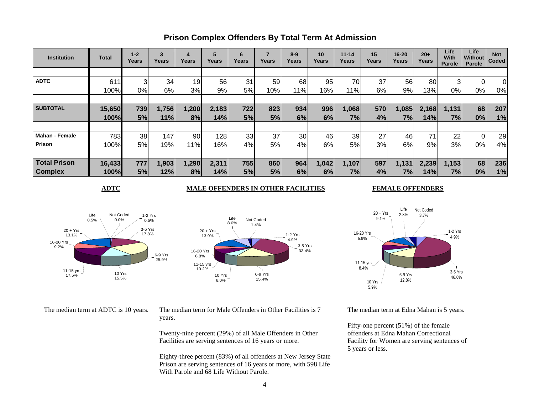| <b>Institution</b>    | Total  | $1 - 2$<br>Years | 3<br>Years | 4<br>Years | 5<br>Years | 6<br>Years | ⇁<br>Years | $8-9$<br>Years | 10<br>Years | $11 - 14$<br>Years | 15<br>Years | $16 - 20$<br>Years | $20+$<br>Years | Life<br>With<br>Parole | Life<br><b>Without</b><br>Parole | <b>Not</b><br>Coded |
|-----------------------|--------|------------------|------------|------------|------------|------------|------------|----------------|-------------|--------------------|-------------|--------------------|----------------|------------------------|----------------------------------|---------------------|
|                       |        |                  |            |            |            |            |            |                |             |                    |             |                    |                |                        |                                  |                     |
| <b>ADTC</b>           | 611    |                  | 34         | 19         | 56         | 31         | 59         | 68             | 95          | 70                 | 37          | 56                 | 80             | 3                      | 0                                | 0                   |
|                       | 100%   | 0%               | 6%         | 3%         | 9%         | 5%         | 10%        | 11%            | 16%         | 11%                | 6%          | 9%                 | 13%            | 0%                     | 0%                               | 0%                  |
|                       |        |                  |            |            |            |            |            |                |             |                    |             |                    |                |                        |                                  |                     |
| <b>SUBTOTAL</b>       | 15,650 | 739              | 1,756      | 1,200      | 2,183      | 722        | 823        | 934            | 996         | 1,068              | 570         | ,085               | 2,168          | 1,131                  | 68                               | 207                 |
|                       | 100%   | 5%               | 11%        | 8%         | 14%        | 5%         | 5%         | 6%             | 6%          | 7%                 | 4%          | 7%                 | 14%            | 7%                     | 0%                               | 1%                  |
|                       |        |                  |            |            |            |            |            |                |             |                    |             |                    |                |                        |                                  |                     |
| <b>Mahan - Female</b> | 783    | 38               | 147        | 90         | 128        | 33         | 37         | 30             | 46          | 39                 | 27          | 46                 |                | 22                     | 0                                | 29                  |
| Prison                | 100%   | 5%               | 19%        | 11%        | 16%        | 4%         | 5%         | 4%             | 6%          | 5%                 | 3%          | 6%                 | 9%             | 3%                     | 0%                               | 4%                  |
|                       |        |                  |            |            |            |            |            |                |             |                    |             |                    |                |                        |                                  |                     |
| <b>Total Prison</b>   | 16,433 | 777              | 1,903      | 1,290      | 2,311      | 755        | 860        | 964            | 1,042       | 1,107              | 597         | 1,131              | 2,239          | 1,153                  | 68                               | 236                 |
| <b>Complex</b>        | 100%   | 5%               | 12%        | 8%         | 14%        | 5%         | 5%         | 6%             | 6%          | 7%                 | 4%          | 7%                 | 14%            | 7%                     | 0%                               | 1%                  |

# **Prison Complex Offenders By Total Term At Admission**

## **ADTC MALE OFFENDERS IN OTHER FACILITIES FEMALE OFFENDERS**

Life 2.8%

 $20 + Yrs$ 9.1%

10 Yrs 5.9%

16-20 Yrs 5.9%

> 11-15 yrs 8.4%





The median term at ADTC is 10 years. The median term for Male Offenders in Other Facilities is 7 years.

> Twenty-nine percent (29%) of all Male Offenders in Other Facilities are serving sentences of 16 years or more.

Eighty-three percent (83%) of all offenders at New Jersey State Prison are serving sentences of 16 years or more, with 598 Life With Parole and 68 Life Without Parole.

3-5 Yrs

1-2 Yrs 4.9%

46.6% 6-9 Yrs 12.8%

Not Coded 3.7%

The median term at Edna Mahan is 5 years.

Fifty-one percent (51%) of the female offenders at Edna Mahan Correctional Facility for Women are serving sentences of 5 years or less.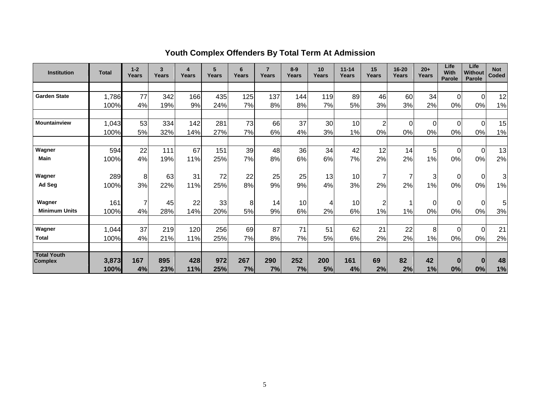| <b>Institution</b>                   | <b>Total</b>  | $1 - 2$<br>Years | 3<br>Years | 4<br>Years | 5<br>Years | 6<br>Years | $\overline{7}$<br>Years | $8-9$<br>Years | 10<br>Years | $11 - 14$<br>Years | 15<br>Years    | 16-20<br><b>Years</b> | $20+$<br>Years | Life<br>With<br><b>Parole</b> | Life<br>Without<br><b>Parole</b> | <b>Not</b><br>Coded |
|--------------------------------------|---------------|------------------|------------|------------|------------|------------|-------------------------|----------------|-------------|--------------------|----------------|-----------------------|----------------|-------------------------------|----------------------------------|---------------------|
|                                      |               |                  |            |            |            |            |                         |                |             |                    |                |                       |                |                               |                                  |                     |
| <b>Garden State</b>                  | 1,786         | 77               | 342        | 166        | 435        | 125        | 137                     | 144            | 119         | 89                 | 46             | 60                    | 34             | 0                             | $\Omega$                         | 12                  |
|                                      | 100%          | 4%               | 19%        | 9%         | 24%        | 7%         | 8%                      | 8%             | 7%          | 5%                 | 3%             | 3%                    | 2%             | 0%                            | 0%                               | 1%                  |
|                                      |               |                  |            |            |            |            |                         |                |             |                    |                |                       |                |                               |                                  |                     |
| <b>Mountainview</b>                  | 1,043         | 53               | 334        | 142        | 281        | 73         | 66                      | 37             | 30          | 10                 | $\overline{2}$ | 0                     | $\Omega$       | 0                             | $\Omega$                         | 15                  |
|                                      | 100%          | 5%               | 32%        | 14%        | 27%        | 7%         | 6%                      | 4%             | 3%          | 1%                 | 0%             | 0%                    | 0%             | 0%                            | 0%                               | 1%                  |
|                                      |               |                  |            |            |            |            |                         |                |             |                    |                |                       |                |                               |                                  |                     |
| Wagner                               | 594           | 22               | 111        | 67         | 151        | 39         | 48                      | 36             | 34          | 42                 | 12             | 14                    | 5              | 0                             | $\Omega$                         | 13                  |
| Main                                 | 100%          | 4%               | 19%        | 11%        | 25%        | 7%         | 8%                      | 6%             | 6%          | 7%                 | 2%             | 2%                    | 1%             | 0%                            | 0%                               | 2%                  |
| Wagner                               | 289           | 8                | 63         | 31         | 72         | 22         | 25                      | 25             | 13          | 10                 |                | 7                     | 3              | 0                             | $\overline{0}$                   | $\overline{3}$      |
| Ad Seg                               | 100%          | 3%               | 22%        | 11%        | 25%        | 8%         | 9%                      | 9%             | 4%          | 3%                 | 2%             | 2%                    | 1%             | 0%                            | 0%                               | 1%                  |
|                                      |               |                  |            |            |            |            |                         |                |             |                    |                |                       |                |                               |                                  |                     |
| Wagner                               | 161           | $\overline{7}$   | 45         | 22         | 33         | 8          | 14                      | 10             | 4           | 10                 | 2              |                       | $\mathbf 0$    | 0                             | $\Omega$                         | 5 <sup>1</sup>      |
| <b>Minimum Units</b>                 | 100%          | 4%               | 28%        | 14%        | 20%        | 5%         | 9%                      | 6%             | 2%          | 6%                 | 1%             | 1%                    | 0%             | 0%                            | 0%                               | 3%                  |
| Wagner                               | 1,044         | 37               | 219        | 120        | 256        | 69         | 87                      | 71             | 51          | 62                 | 21             | 22                    | 8              | 0                             | $\Omega$                         | 21                  |
| <b>Total</b>                         | 100%          | 4%               | 21%        | 11%        | 25%        | 7%         | 8%                      | 7%             | 5%          | 6%                 | 2%             | 2%                    | $1\%$          | 0%                            | 0%                               | 2%                  |
|                                      |               |                  |            |            |            |            |                         |                |             |                    |                |                       |                |                               |                                  |                     |
| <b>Total Youth</b><br><b>Complex</b> | 3,873<br>100% | 167<br>4%        | 895<br>23% | 428<br>11% | 972<br>25% | 267<br>7%  | 290<br>7%               | 252<br>7%      | 200<br>5%   | 161<br>4%          | 69<br>2%       | 82<br>2%              | 42<br>1%       | $\bf{0}$<br>0%                | $\bf{0}$<br>0%                   | 48<br>1%            |

# **Youth Complex Offenders By Total Term At Admission**